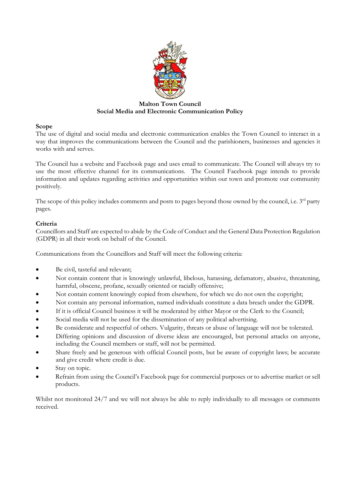

# Malton Town Council Social Media and Electronic Communication Policy

## Scope

The use of digital and social media and electronic communication enables the Town Council to interact in a way that improves the communications between the Council and the parishioners, businesses and agencies it works with and serves.

The Council has a website and Facebook page and uses email to communicate. The Council will always try to use the most effective channel for its communications. The Council Facebook page intends to provide information and updates regarding activities and opportunities within our town and promote our community positively.

The scope of this policy includes comments and posts to pages beyond those owned by the council, i.e. 3<sup>rd</sup> party pages.

## Criteria

Councillors and Staff are expected to abide by the Code of Conduct and the General Data Protection Regulation (GDPR) in all their work on behalf of the Council.

Communications from the Councillors and Staff will meet the following criteria:

- Be civil, tasteful and relevant;
- Not contain content that is knowingly unlawful, libelous, harassing, defamatory, abusive, threatening, harmful, obscene, profane, sexually oriented or racially offensive;
- Not contain content knowingly copied from elsewhere, for which we do not own the copyright;
- Not contain any personal information, named individuals constitute a data breach under the GDPR.
- If it is official Council business it will be moderated by either Mayor or the Clerk to the Council;
- Social media will not be used for the dissemination of any political advertising.
- Be considerate and respectful of others. Vulgarity, threats or abuse of language will not be tolerated.
- Differing opinions and discussion of diverse ideas are encouraged, but personal attacks on anyone, including the Council members or staff, will not be permitted.
- Share freely and be generous with official Council posts, but be aware of copyright laws; be accurate and give credit where credit is due.
- Stay on topic.
- Refrain from using the Council's Facebook page for commercial purposes or to advertise market or sell products.

Whilst not monitored 24/7 and we will not always be able to reply individually to all messages or comments received.